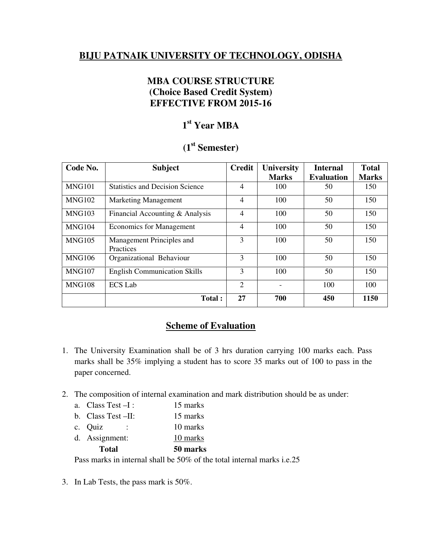## **BIJU PATNAIK UNIVERSITY OF TECHNOLOGY, ODISHA**

## **MBA COURSE STRUCTURE (Choice Based Credit System) EFFECTIVE FROM 2015-16**

# **1 st Year MBA**

## **(1st Semester)**

| Code No.      | <b>Subject</b>                         | <b>Credit</b>  | <b>University</b> | <b>Internal</b>   | <b>Total</b> |
|---------------|----------------------------------------|----------------|-------------------|-------------------|--------------|
|               |                                        |                | <b>Marks</b>      | <b>Evaluation</b> | <b>Marks</b> |
| <b>MNG101</b> | <b>Statistics and Decision Science</b> | 4              | 100               | 50                | 150          |
| MNG102        | <b>Marketing Management</b>            | 4              | 100               | 50                | 150          |
| MNG103        | Financial Accounting & Analysis        | 4              | 100               | 50                | 150          |
| <b>MNG104</b> | <b>Economics for Management</b>        | $\overline{4}$ | 100               | 50                | 150          |
| <b>MNG105</b> | Management Principles and<br>Practices | 3              | 100               | 50                | 150          |
| <b>MNG106</b> | Organizational Behaviour               | 3              | 100               | 50                | 150          |
| <b>MNG107</b> | <b>English Communication Skills</b>    | 3              | 100               | 50                | 150          |
| <b>MNG108</b> | <b>ECS Lab</b>                         | $\overline{2}$ |                   | 100               | 100          |
|               | <b>Total:</b>                          | 27             | 700               | 450               | 1150         |

## **Scheme of Evaluation**

- 1. The University Examination shall be of 3 hrs duration carrying 100 marks each. Pass marks shall be 35% implying a student has to score 35 marks out of 100 to pass in the paper concerned.
- 2. The composition of internal examination and mark distribution should be as under:
	- a. Class Test –I : 15 marks
	- b. Class Test –II: 15 marks
	- c. Quiz : 10 marks
	- d. Assignment: 10 marks

**Total 50 marks** 

Pass marks in internal shall be 50% of the total internal marks i.e.25

3. In Lab Tests, the pass mark is 50%.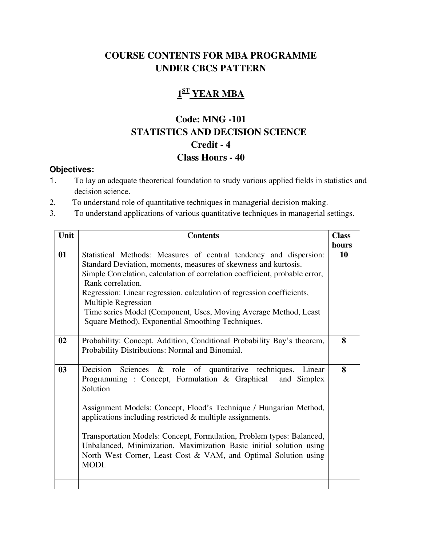# **COURSE CONTENTS FOR MBA PROGRAMME UNDER CBCS PATTERN**

# **1 ST YEAR MBA**

# **Code: MNG -101 STATISTICS AND DECISION SCIENCE Credit - 4 Class Hours - 40**

- 1. To lay an adequate theoretical foundation to study various applied fields in statistics and decision science.
- 2. To understand role of quantitative techniques in managerial decision making.
- 3. To understand applications of various quantitative techniques in managerial settings.

| Unit | <b>Contents</b>                                                                                                                                                                                                                                                                                                                                                                                                                                                                                             | <b>Class</b> |
|------|-------------------------------------------------------------------------------------------------------------------------------------------------------------------------------------------------------------------------------------------------------------------------------------------------------------------------------------------------------------------------------------------------------------------------------------------------------------------------------------------------------------|--------------|
|      |                                                                                                                                                                                                                                                                                                                                                                                                                                                                                                             | hours        |
| 01   | Statistical Methods: Measures of central tendency and dispersion:<br>Standard Deviation, moments, measures of skewness and kurtosis.<br>Simple Correlation, calculation of correlation coefficient, probable error,<br>Rank correlation.<br>Regression: Linear regression, calculation of regression coefficients,<br><b>Multiple Regression</b><br>Time series Model (Component, Uses, Moving Average Method, Least<br>Square Method), Exponential Smoothing Techniques.                                   | 10           |
| 02   | Probability: Concept, Addition, Conditional Probability Bay's theorem,<br>Probability Distributions: Normal and Binomial.                                                                                                                                                                                                                                                                                                                                                                                   | 8            |
| 03   | Decision Sciences & role of quantitative techniques.<br>Linear<br>Programming: Concept, Formulation & Graphical<br>and Simplex<br>Solution<br>Assignment Models: Concept, Flood's Technique / Hungarian Method,<br>applications including restricted $\&$ multiple assignments.<br>Transportation Models: Concept, Formulation, Problem types: Balanced,<br>Unbalanced, Minimization, Maximization Basic initial solution using<br>North West Corner, Least Cost & VAM, and Optimal Solution using<br>MODI. | 8            |
|      |                                                                                                                                                                                                                                                                                                                                                                                                                                                                                                             |              |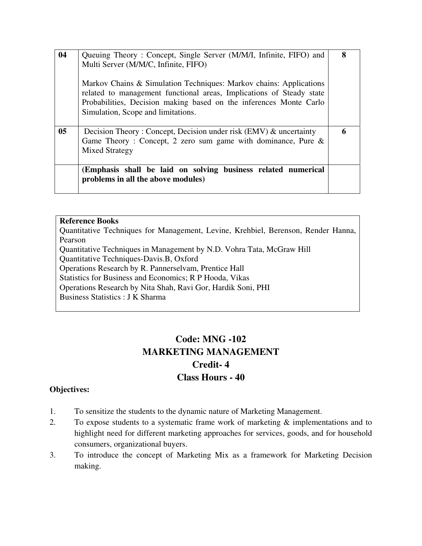| 04             | Queuing Theory: Concept, Single Server (M/M/I, Infinite, FIFO) and<br>Multi Server (M/M/C, Infinite, FIFO)<br>Markov Chains & Simulation Techniques: Markov chains: Applications<br>related to management functional areas, Implications of Steady state<br>Probabilities, Decision making based on the inferences Monte Carlo<br>Simulation, Scope and limitations. | 8 |
|----------------|----------------------------------------------------------------------------------------------------------------------------------------------------------------------------------------------------------------------------------------------------------------------------------------------------------------------------------------------------------------------|---|
| 0 <sub>5</sub> | Decision Theory: Concept, Decision under risk (EMV) & uncertainty<br>Game Theory: Concept, 2 zero sum game with dominance, Pure $\&$<br><b>Mixed Strategy</b>                                                                                                                                                                                                        |   |
|                | (Emphasis shall be laid on solving business related numerical<br>problems in all the above modules)                                                                                                                                                                                                                                                                  |   |

Quantitative Techniques for Management, Levine, Krehbiel, Berenson, Render Hanna, Pearson Quantitative Techniques in Management by N.D. Vohra Tata, McGraw Hill Quantitative Techniques-Davis.B, Oxford Operations Research by R. Pannerselvam, Prentice Hall Statistics for Business and Economics; R P Hooda, Vikas Operations Research by Nita Shah, Ravi Gor, Hardik Soni, PHI Business Statistics : J K Sharma

# **Code: MNG -102 MARKETING MANAGEMENT Credit- 4 Class Hours - 40**

- 1. To sensitize the students to the dynamic nature of Marketing Management.
- 2. To expose students to a systematic frame work of marketing  $\&$  implementations and to highlight need for different marketing approaches for services, goods, and for household consumers, organizational buyers.
- 3. To introduce the concept of Marketing Mix as a framework for Marketing Decision making.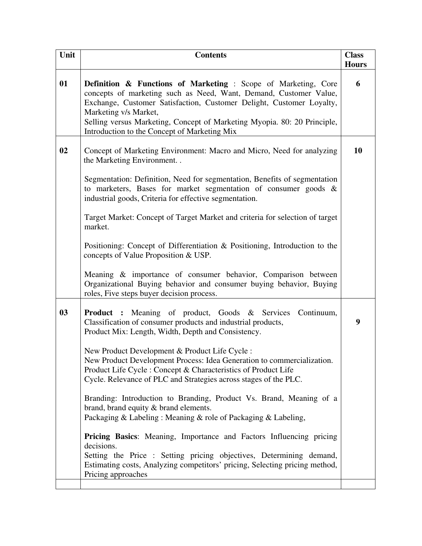| Unit | <b>Contents</b>                                                                                                                                                                                                                                                                                                                                                            | <b>Class</b><br><b>Hours</b> |
|------|----------------------------------------------------------------------------------------------------------------------------------------------------------------------------------------------------------------------------------------------------------------------------------------------------------------------------------------------------------------------------|------------------------------|
| 01   | <b>Definition &amp; Functions of Marketing:</b> Scope of Marketing, Core<br>concepts of marketing such as Need, Want, Demand, Customer Value,<br>Exchange, Customer Satisfaction, Customer Delight, Customer Loyalty,<br>Marketing v/s Market,<br>Selling versus Marketing, Concept of Marketing Myopia. 80: 20 Principle,<br>Introduction to the Concept of Marketing Mix | 6                            |
| 02   | Concept of Marketing Environment: Macro and Micro, Need for analyzing<br>the Marketing Environment                                                                                                                                                                                                                                                                         | 10                           |
|      | Segmentation: Definition, Need for segmentation, Benefits of segmentation<br>to marketers, Bases for market segmentation of consumer goods $\&$<br>industrial goods, Criteria for effective segmentation.                                                                                                                                                                  |                              |
|      | Target Market: Concept of Target Market and criteria for selection of target<br>market.                                                                                                                                                                                                                                                                                    |                              |
|      | Positioning: Concept of Differentiation & Positioning, Introduction to the<br>concepts of Value Proposition & USP.                                                                                                                                                                                                                                                         |                              |
|      | Meaning & importance of consumer behavior, Comparison between<br>Organizational Buying behavior and consumer buying behavior, Buying<br>roles, Five steps buyer decision process.                                                                                                                                                                                          |                              |
| 03   | <b>Product :</b> Meaning of product, Goods & Services Continuum,<br>Classification of consumer products and industrial products,<br>Product Mix: Length, Width, Depth and Consistency.                                                                                                                                                                                     | 9                            |
|      | New Product Development & Product Life Cycle:<br>New Product Development Process: Idea Generation to commercialization.<br>Product Life Cycle: Concept & Characteristics of Product Life<br>Cycle. Relevance of PLC and Strategies across stages of the PLC.                                                                                                               |                              |
|      | Branding: Introduction to Branding, Product Vs. Brand, Meaning of a<br>brand, brand equity & brand elements.<br>Packaging & Labeling: Meaning & role of Packaging & Labeling,                                                                                                                                                                                              |                              |
|      | <b>Pricing Basics:</b> Meaning, Importance and Factors Influencing pricing<br>decisions.<br>Setting the Price : Setting pricing objectives, Determining demand,<br>Estimating costs, Analyzing competitors' pricing, Selecting pricing method,<br>Pricing approaches                                                                                                       |                              |
|      |                                                                                                                                                                                                                                                                                                                                                                            |                              |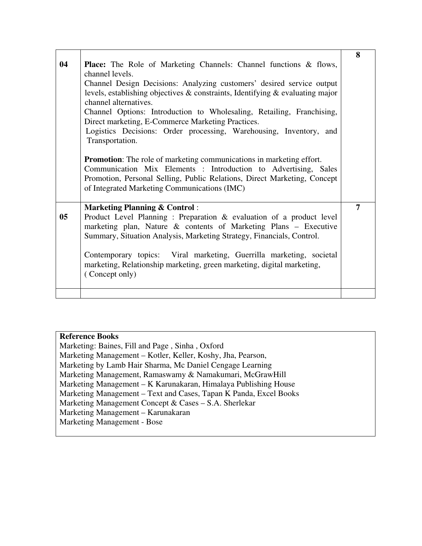| 04             | <b>Place:</b> The Role of Marketing Channels: Channel functions & flows,<br>channel levels.<br>Channel Design Decisions: Analyzing customers' desired service output<br>levels, establishing objectives $\&$ constraints, Identifying $\&$ evaluating major<br>channel alternatives.<br>Channel Options: Introduction to Wholesaling, Retailing, Franchising,<br>Direct marketing, E-Commerce Marketing Practices.<br>Logistics Decisions: Order processing, Warehousing, Inventory, and<br>Transportation.<br><b>Promotion:</b> The role of marketing communications in marketing effort.<br>Communication Mix Elements : Introduction to Advertising, Sales<br>Promotion, Personal Selling, Public Relations, Direct Marketing, Concept<br>of Integrated Marketing Communications (IMC) | 8              |
|----------------|-------------------------------------------------------------------------------------------------------------------------------------------------------------------------------------------------------------------------------------------------------------------------------------------------------------------------------------------------------------------------------------------------------------------------------------------------------------------------------------------------------------------------------------------------------------------------------------------------------------------------------------------------------------------------------------------------------------------------------------------------------------------------------------------|----------------|
| 0 <sub>5</sub> | <b>Marketing Planning &amp; Control:</b><br>Product Level Planning: Preparation & evaluation of a product level<br>marketing plan, Nature $\&$ contents of Marketing Plans – Executive<br>Summary, Situation Analysis, Marketing Strategy, Financials, Control.<br>Contemporary topics: Viral marketing, Guerrilla marketing, societal<br>marketing, Relationship marketing, green marketing, digital marketing,<br>(Concept only)                                                                                                                                                                                                                                                                                                                                                        | $\overline{7}$ |
|                |                                                                                                                                                                                                                                                                                                                                                                                                                                                                                                                                                                                                                                                                                                                                                                                           |                |

Marketing: Baines, Fill and Page , Sinha , Oxford Marketing Management – Kotler, Keller, Koshy, Jha, Pearson, Marketing by Lamb Hair Sharma, Mc Daniel Cengage Learning Marketing Management, Ramaswamy & Namakumari, McGrawHill Marketing Management – K Karunakaran, Himalaya Publishing House Marketing Management – Text and Cases, Tapan K Panda, Excel Books Marketing Management Concept & Cases – S.A. Sherlekar Marketing Management – Karunakaran Marketing Management - Bose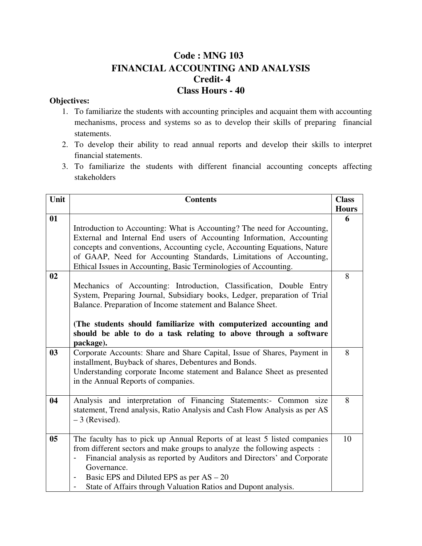# **Code : MNG 103 FINANCIAL ACCOUNTING AND ANALYSIS Credit- 4 Class Hours - 40**

- 1. To familiarize the students with accounting principles and acquaint them with accounting mechanisms, process and systems so as to develop their skills of preparing financial statements.
- 2. To develop their ability to read annual reports and develop their skills to interpret financial statements.
- 3. To familiarize the students with different financial accounting concepts affecting stakeholders

| Unit           | <b>Contents</b>                                                                                                                                                                                                                                                                                                                                                | <b>Class</b> |
|----------------|----------------------------------------------------------------------------------------------------------------------------------------------------------------------------------------------------------------------------------------------------------------------------------------------------------------------------------------------------------------|--------------|
|                |                                                                                                                                                                                                                                                                                                                                                                | <b>Hours</b> |
| 01             | Introduction to Accounting: What is Accounting? The need for Accounting,                                                                                                                                                                                                                                                                                       | 6            |
|                | External and Internal End users of Accounting Information, Accounting<br>concepts and conventions, Accounting cycle, Accounting Equations, Nature<br>of GAAP, Need for Accounting Standards, Limitations of Accounting,<br>Ethical Issues in Accounting, Basic Terminologies of Accounting.                                                                    |              |
| 02             | Mechanics of Accounting: Introduction, Classification, Double Entry<br>System, Preparing Journal, Subsidiary books, Ledger, preparation of Trial<br>Balance. Preparation of Income statement and Balance Sheet.                                                                                                                                                | 8            |
|                | (The students should familiarize with computerized accounting and<br>should be able to do a task relating to above through a software<br>package).                                                                                                                                                                                                             |              |
| 03             | Corporate Accounts: Share and Share Capital, Issue of Shares, Payment in<br>installment, Buyback of shares, Debentures and Bonds.<br>Understanding corporate Income statement and Balance Sheet as presented<br>in the Annual Reports of companies.                                                                                                            | 8            |
| 04             | Analysis and interpretation of Financing Statements:- Common size<br>statement, Trend analysis, Ratio Analysis and Cash Flow Analysis as per AS<br>$-3$ (Revised).                                                                                                                                                                                             | 8            |
| 0 <sub>5</sub> | The faculty has to pick up Annual Reports of at least 5 listed companies<br>from different sectors and make groups to analyze the following aspects:<br>Financial analysis as reported by Auditors and Directors' and Corporate<br>Governance.<br>Basic EPS and Diluted EPS as per $AS - 20$<br>State of Affairs through Valuation Ratios and Dupont analysis. | 10           |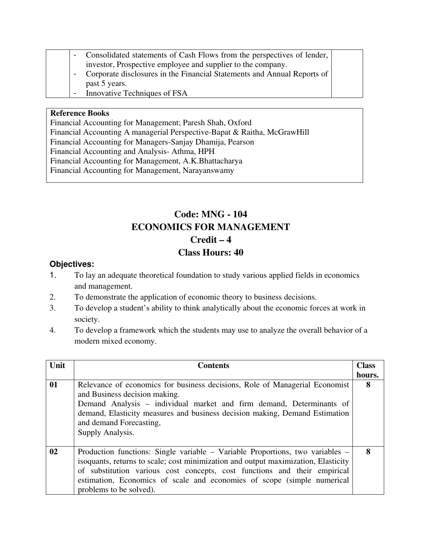|  | - Consolidated statements of Cash Flows from the perspectives of lender, I |  |
|--|----------------------------------------------------------------------------|--|
|  | investor, Prospective employee and supplier to the company.                |  |
|  | - Corporate disclosures in the Financial Statements and Annual Reports of  |  |

- past 5 years.
- Innovative Techniques of FSA

Financial Accounting for Management; Paresh Shah, Oxford Financial Accounting A managerial Perspective-Bapat & Raitha, McGrawHill Financial Accounting for Managers-Sanjay Dhamija, Pearson Financial Accounting and Analysis- Athma, HPH Financial Accounting for Management, A.K.Bhattacharya Financial Accounting for Management, Narayanswamy

# **Code: MNG - 104 ECONOMICS FOR MANAGEMENT Credit – 4 Class Hours: 40**

- 1. To lay an adequate theoretical foundation to study various applied fields in economics and management.
- 2. To demonstrate the application of economic theory to business decisions.
- 3. To develop a student's ability to think analytically about the economic forces at work in society.
- 4. To develop a framework which the students may use to analyze the overall behavior of a modern mixed economy.

| Unit | <b>Contents</b>                                                                                                                                                                                                                                                                                                                                        | <b>Class</b> |
|------|--------------------------------------------------------------------------------------------------------------------------------------------------------------------------------------------------------------------------------------------------------------------------------------------------------------------------------------------------------|--------------|
|      |                                                                                                                                                                                                                                                                                                                                                        | hours.       |
| 01   | Relevance of economics for business decisions, Role of Managerial Economist<br>and Business decision making.<br>Demand Analysis – individual market and firm demand, Determinants of<br>demand, Elasticity measures and business decision making, Demand Estimation<br>and demand Forecasting,<br>Supply Analysis.                                     | 8            |
| 02   | Production functions: Single variable – Variable Proportions, two variables –<br>isoquants, returns to scale; cost minimization and output maximization, Elasticity<br>of substitution various cost concepts, cost functions and their empirical<br>estimation, Economics of scale and economies of scope (simple numerical<br>problems to be solved). | 8            |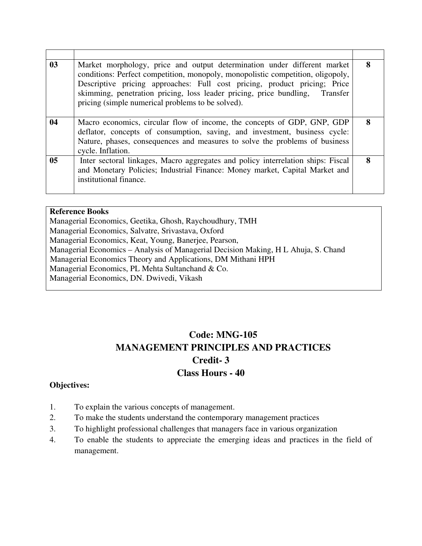| 0 <sub>3</sub> | Market morphology, price and output determination under different market<br>conditions: Perfect competition, monopoly, monopolistic competition, oligopoly,<br>Descriptive pricing approaches: Full cost pricing, product pricing; Price<br>skimming, penetration pricing, loss leader pricing, price bundling, Transfer<br>pricing (simple numerical problems to be solved). | 8 |
|----------------|-------------------------------------------------------------------------------------------------------------------------------------------------------------------------------------------------------------------------------------------------------------------------------------------------------------------------------------------------------------------------------|---|
| 04             | Macro economics, circular flow of income, the concepts of GDP, GNP, GDP<br>deflator, concepts of consumption, saving, and investment, business cycle:<br>Nature, phases, consequences and measures to solve the problems of business<br>cycle. Inflation.                                                                                                                     | 8 |
| 0 <sub>5</sub> | Inter sectoral linkages, Macro aggregates and policy interrelation ships: Fiscal<br>and Monetary Policies; Industrial Finance: Money market, Capital Market and<br>institutional finance.                                                                                                                                                                                     | 8 |

Managerial Economics, Geetika, Ghosh, Raychoudhury, TMH Managerial Economics, Salvatre, Srivastava, Oxford Managerial Economics, Keat, Young, Banerjee, Pearson, Managerial Economics – Analysis of Managerial Decision Making, H L Ahuja, S. Chand Managerial Economics Theory and Applications, DM Mithani HPH Managerial Economics, PL Mehta Sultanchand & Co. Managerial Economics, DN. Dwivedi, Vikash

# **Code: MNG-105 MANAGEMENT PRINCIPLES AND PRACTICES Credit- 3 Class Hours - 40**

- 1. To explain the various concepts of management.
- 2. To make the students understand the contemporary management practices
- 3. To highlight professional challenges that managers face in various organization
- 4. To enable the students to appreciate the emerging ideas and practices in the field of management.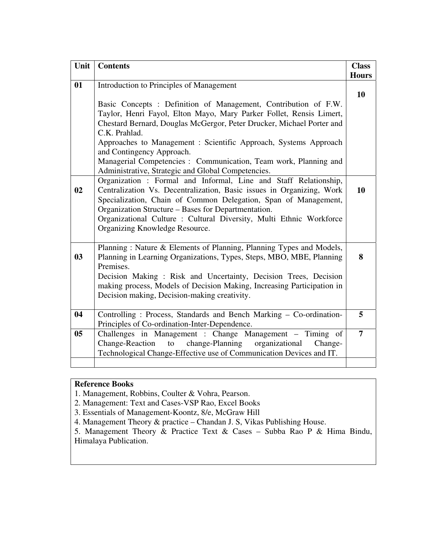| Unit           | <b>Contents</b>                                                                                                                                                                                                                                                                                                                                                                                                                   | <b>Class</b>   |
|----------------|-----------------------------------------------------------------------------------------------------------------------------------------------------------------------------------------------------------------------------------------------------------------------------------------------------------------------------------------------------------------------------------------------------------------------------------|----------------|
| 01             | Introduction to Principles of Management                                                                                                                                                                                                                                                                                                                                                                                          | <b>Hours</b>   |
|                | Basic Concepts : Definition of Management, Contribution of F.W.<br>Taylor, Henri Fayol, Elton Mayo, Mary Parker Follet, Rensis Limert,<br>Chestard Bernard, Douglas McGergor, Peter Drucker, Michael Porter and<br>C.K. Prahlad.<br>Approaches to Management : Scientific Approach, Systems Approach<br>and Contingency Approach.<br>Managerial Competencies : Communication, Team work, Planning and                             | 10             |
| 02             | Administrative, Strategic and Global Competencies.<br>Organization: Formal and Informal, Line and Staff Relationship,<br>Centralization Vs. Decentralization, Basic issues in Organizing, Work<br>Specialization, Chain of Common Delegation, Span of Management,<br>Organization Structure - Bases for Departmentation.<br>Organizational Culture : Cultural Diversity, Multi Ethnic Workforce<br>Organizing Knowledge Resource. | 10             |
| 03             | Planning: Nature & Elements of Planning, Planning Types and Models,<br>Planning in Learning Organizations, Types, Steps, MBO, MBE, Planning<br>Premises.<br>Decision Making: Risk and Uncertainty, Decision Trees, Decision<br>making process, Models of Decision Making, Increasing Participation in<br>Decision making, Decision-making creativity.                                                                             | 8              |
| 04             | Controlling: Process, Standards and Bench Marking - Co-ordination-<br>Principles of Co-ordination-Inter-Dependence.                                                                                                                                                                                                                                                                                                               | 5              |
| 0 <sub>5</sub> | Challenges in Management : Change Management – Timing of<br>to change-Planning organizational<br><b>Change-Reaction</b><br>Change-<br>Technological Change-Effective use of Communication Devices and IT.                                                                                                                                                                                                                         | $\overline{7}$ |
|                |                                                                                                                                                                                                                                                                                                                                                                                                                                   |                |

1. Management, Robbins, Coulter & Vohra, Pearson.

2. Management: Text and Cases-VSP Rao, Excel Books

3. Essentials of Management-Koontz, 8/e, McGraw Hill

4. Management Theory & practice – Chandan J. S, Vikas Publishing House.

5. Management Theory & Practice Text & Cases – Subba Rao P & Hima Bindu, Himalaya Publication.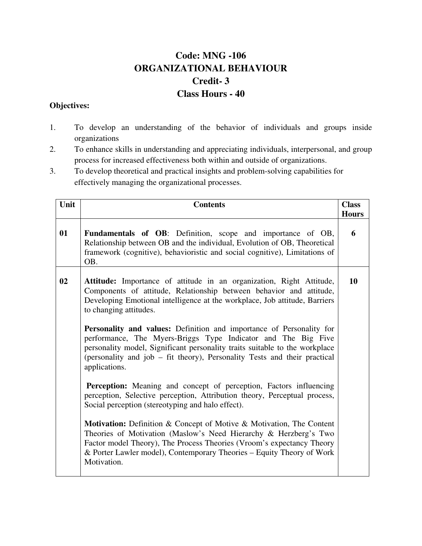# **Code: MNG -106 ORGANIZATIONAL BEHAVIOUR Credit- 3 Class Hours - 40**

- 1. To develop an understanding of the behavior of individuals and groups inside organizations
- 2. To enhance skills in understanding and appreciating individuals, interpersonal, and group process for increased effectiveness both within and outside of organizations.
- 3. To develop theoretical and practical insights and problem-solving capabilities for effectively managing the organizational processes.

| Unit | <b>Contents</b>                                                                                                                                                                                                                                                                                                           | <b>Class</b><br><b>Hours</b> |
|------|---------------------------------------------------------------------------------------------------------------------------------------------------------------------------------------------------------------------------------------------------------------------------------------------------------------------------|------------------------------|
| 01   | <b>Fundamentals of OB:</b> Definition, scope and importance of OB,<br>Relationship between OB and the individual, Evolution of OB, Theoretical<br>framework (cognitive), behavioristic and social cognitive), Limitations of<br>OB.                                                                                       | 6                            |
| 02   | Attitude: Importance of attitude in an organization, Right Attitude,<br>Components of attitude, Relationship between behavior and attitude,<br>Developing Emotional intelligence at the workplace, Job attitude, Barriers<br>to changing attitudes.                                                                       | 10                           |
|      | <b>Personality and values:</b> Definition and importance of Personality for<br>performance, The Myers-Briggs Type Indicator and The Big Five<br>personality model, Significant personality traits suitable to the workplace<br>(personality and job – fit theory), Personality Tests and their practical<br>applications. |                              |
|      | <b>Perception:</b> Meaning and concept of perception, Factors influencing<br>perception, Selective perception, Attribution theory, Perceptual process,<br>Social perception (stereotyping and halo effect).                                                                                                               |                              |
|      | Motivation: Definition & Concept of Motive & Motivation, The Content<br>Theories of Motivation (Maslow's Need Hierarchy & Herzberg's Two<br>Factor model Theory), The Process Theories (Vroom's expectancy Theory<br>& Porter Lawler model), Contemporary Theories – Equity Theory of Work<br>Motivation.                 |                              |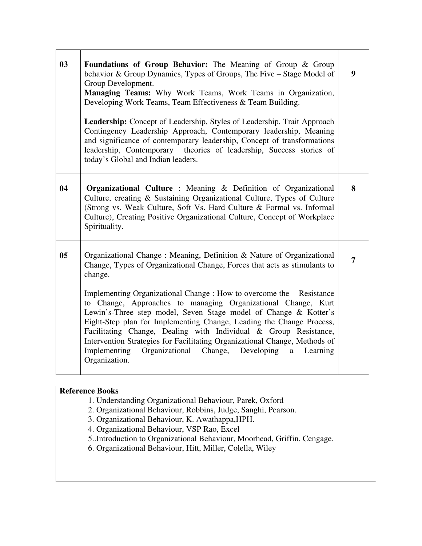| 03             | <b>Foundations of Group Behavior:</b> The Meaning of Group & Group<br>behavior & Group Dynamics, Types of Groups, The Five - Stage Model of<br>Group Development.<br>Managing Teams: Why Work Teams, Work Teams in Organization,<br>Developing Work Teams, Team Effectiveness & Team Building.<br><b>Leadership:</b> Concept of Leadership, Styles of Leadership, Trait Approach<br>Contingency Leadership Approach, Contemporary leadership, Meaning<br>and significance of contemporary leadership, Concept of transformations<br>leadership, Contemporary theories of leadership, Success stories of<br>today's Global and Indian leaders.                                                 | $\boldsymbol{9}$ |
|----------------|-----------------------------------------------------------------------------------------------------------------------------------------------------------------------------------------------------------------------------------------------------------------------------------------------------------------------------------------------------------------------------------------------------------------------------------------------------------------------------------------------------------------------------------------------------------------------------------------------------------------------------------------------------------------------------------------------|------------------|
| 04             | <b>Organizational Culture</b> : Meaning $\&$ Definition of Organizational<br>Culture, creating & Sustaining Organizational Culture, Types of Culture<br>(Strong vs. Weak Culture, Soft Vs. Hard Culture & Formal vs. Informal<br>Culture), Creating Positive Organizational Culture, Concept of Workplace<br>Spirituality.                                                                                                                                                                                                                                                                                                                                                                    | 8                |
| 0 <sub>5</sub> | Organizational Change: Meaning, Definition & Nature of Organizational<br>Change, Types of Organizational Change, Forces that acts as stimulants to<br>change.<br>Implementing Organizational Change : How to overcome the Resistance<br>to Change, Approaches to managing Organizational Change, Kurt<br>Lewin's-Three step model, Seven Stage model of Change & Kotter's<br>Eight-Step plan for Implementing Change, Leading the Change Process,<br>Facilitating Change, Dealing with Individual & Group Resistance,<br>Intervention Strategies for Facilitating Organizational Change, Methods of<br>Implementing<br>Organizational Change,<br>Developing<br>Learning<br>a<br>Organization. | 7                |

- 1. Understanding Organizational Behaviour, Parek, Oxford
- 2. Organizational Behaviour, Robbins, Judge, Sanghi, Pearson.
- 3. Organizational Behaviour, K. Awathappa,HPH.
- 4. Organizational Behaviour, VSP Rao, Excel
- 5..Introduction to Organizational Behaviour, Moorhead, Griffin, Cengage.
- 6. Organizational Behaviour, Hitt, Miller, Colella, Wiley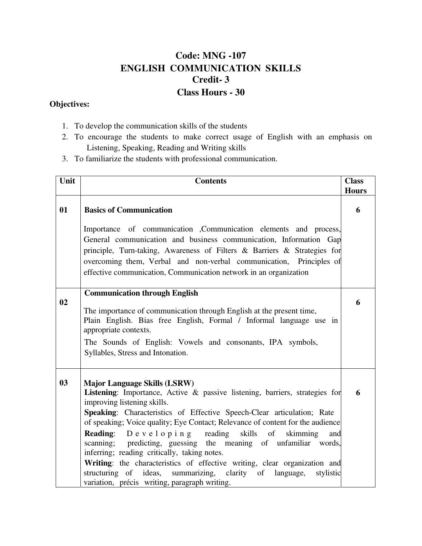# **Code: MNG -107 ENGLISH COMMUNICATION SKILLS Credit- 3 Class Hours - 30**

- 1. To develop the communication skills of the students
- 2. To encourage the students to make correct usage of English with an emphasis on Listening, Speaking, Reading and Writing skills
- 3. To familiarize the students with professional communication.

| Unit | <b>Contents</b>                                                                                                                                                                                                                                                                                               | <b>Class</b><br><b>Hours</b> |
|------|---------------------------------------------------------------------------------------------------------------------------------------------------------------------------------------------------------------------------------------------------------------------------------------------------------------|------------------------------|
| 01   | <b>Basics of Communication</b>                                                                                                                                                                                                                                                                                | 6                            |
|      | Importance of communication , Communication elements and process,<br>General communication and business communication, Information Gap<br>principle, Turn-taking, Awareness of Filters & Barriers & Strategies for<br>overcoming them, Verbal and non-verbal communication, Principles of                     |                              |
|      | effective communication, Communication network in an organization                                                                                                                                                                                                                                             |                              |
| 02   | <b>Communication through English</b><br>The importance of communication through English at the present time,                                                                                                                                                                                                  | 6                            |
|      | Plain English. Bias free English, Formal / Informal language use in<br>appropriate contexts.                                                                                                                                                                                                                  |                              |
|      | The Sounds of English: Vowels and consonants, IPA symbols,<br>Syllables, Stress and Intonation.                                                                                                                                                                                                               |                              |
| 03   | <b>Major Language Skills (LSRW)</b><br>Listening: Importance, Active & passive listening, barriers, strategies for<br>improving listening skills.<br>Speaking: Characteristics of Effective Speech-Clear articulation; Rate<br>of speaking; Voice quality; Eye Contact; Relevance of content for the audience | 6                            |
|      | <b>Reading:</b><br>$D e v e l o p i n g$ reading skills of<br>skimming<br>and<br>scanning;<br>predicting, guessing the meaning of unfamiliar words,<br>inferring; reading critically, taking notes.                                                                                                           |                              |
|      | Writing: the characteristics of effective writing, clear organization and<br>structuring of ideas, summarizing, clarity of language,<br>stylistic<br>variation, précis writing, paragraph writing.                                                                                                            |                              |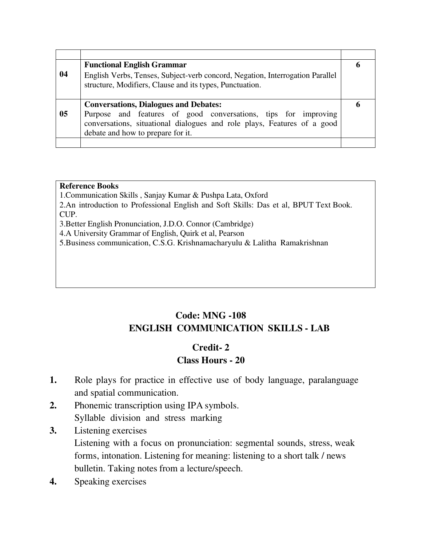|                | <b>Functional English Grammar</b>                                             |   |  |  |
|----------------|-------------------------------------------------------------------------------|---|--|--|
| 04             | English Verbs, Tenses, Subject-verb concord, Negation, Interrogation Parallel |   |  |  |
|                | structure, Modifiers, Clause and its types, Punctuation.                      |   |  |  |
|                |                                                                               |   |  |  |
|                |                                                                               |   |  |  |
|                | <b>Conversations, Dialogues and Debates:</b>                                  | n |  |  |
| 0 <sub>5</sub> | Purpose and features of good conversations, tips for improving                |   |  |  |
|                | conversations, situational dialogues and role plays, Features of a good       |   |  |  |
|                | debate and how to prepare for it.                                             |   |  |  |

1.Communication Skills , Sanjay Kumar & Pushpa Lata, Oxford

2.An introduction to Professional English and Soft Skills: Das et al, BPUT Text Book. CUP.

3.Better English Pronunciation, J.D.O. Connor (Cambridge)

4.A University Grammar of English, Quirk et al, Pearson

5.Business communication, C.S.G. Krishnamacharyulu & Lalitha Ramakrishnan

# **Code: MNG -108 ENGLISH COMMUNICATION SKILLS - LAB**

## **Credit- 2 Class Hours - 20**

- **1.** Role plays for practice in effective use of body language, paralanguage and spatial communication.
- **2.** Phonemic transcription using IPA symbols. Syllable division and stress marking
- **3.** Listening exercises

Listening with a focus on pronunciation: segmental sounds, stress, weak forms, intonation. Listening for meaning: listening to a short talk / news bulletin. Taking notes from a lecture/speech.

**4.** Speaking exercises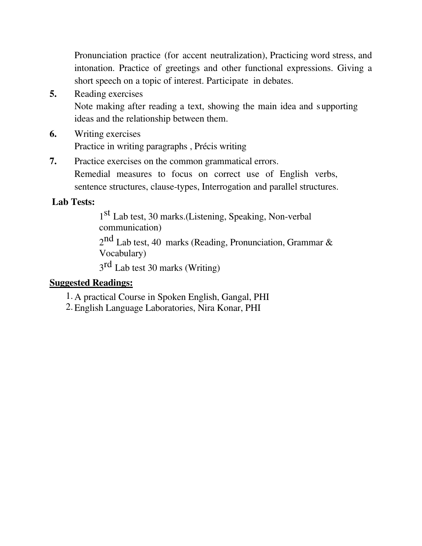Pronunciation practice (for accent neutralization), Practicing word stress, and intonation. Practice of greetings and other functional expressions. Giving a short speech on a topic of interest. Participate in debates.

- **5.** Reading exercises Note making after reading a text, showing the main idea and supporting ideas and the relationship between them.
- **6.** Writing exercises Practice in writing paragraphs , Précis writing
- **7.** Practice exercises on the common grammatical errors. Remedial measures to focus on correct use of English verbs, sentence structures, clause-types, Interrogation and parallel structures.

# **Lab Tests:**

1<sup>st</sup> Lab test, 30 marks.(Listening, Speaking, Non-verbal communication)

 $2<sup>nd</sup>$  Lab test, 40 marks (Reading, Pronunciation, Grammar & Vocabulary)

3<sup>rd</sup> Lab test 30 marks (Writing)

# **Suggested Readings:**

- 1. A practical Course in Spoken English, Gangal, PHI
- 2. English Language Laboratories, Nira Konar, PHI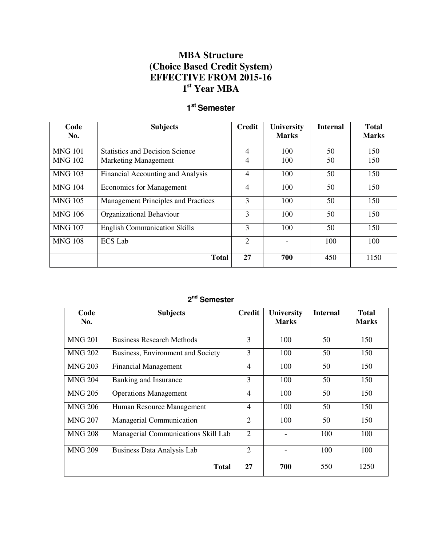## **MBA Structure (Choice Based Credit System) EFFECTIVE FROM 2015-16 1 st Year MBA**

## **1 st Semester**

| Code<br>No.    | <b>Subjects</b>                            | <b>Credit</b>  | <b>University</b><br><b>Marks</b> | <b>Internal</b> | <b>Total</b><br><b>Marks</b> |
|----------------|--------------------------------------------|----------------|-----------------------------------|-----------------|------------------------------|
| <b>MNG 101</b> | <b>Statistics and Decision Science</b>     | $\overline{4}$ | 100                               | 50              | 150                          |
| <b>MNG 102</b> | <b>Marketing Management</b>                | 4              | 100                               | 50              | 150                          |
| <b>MNG 103</b> | Financial Accounting and Analysis          | 4              | 100                               | 50              | 150                          |
| <b>MNG 104</b> | <b>Economics for Management</b>            | 4              | 100                               | 50              | 150                          |
| <b>MNG 105</b> | <b>Management Principles and Practices</b> | 3              | 100                               | 50              | 150                          |
| <b>MNG 106</b> | Organizational Behaviour                   | 3              | 100                               | 50              | 150                          |
| <b>MNG 107</b> | <b>English Communication Skills</b>        | 3              | 100                               | 50              | 150                          |
| <b>MNG 108</b> | <b>ECS Lab</b>                             | $\overline{2}$ |                                   | 100             | 100                          |
|                | <b>Total</b>                               | 27             | 700                               | 450             | 1150                         |

#### **2 nd Semester**

| Code<br>No.    | <b>Subjects</b>                     | <b>Credit</b>  | <b>University</b><br><b>Marks</b> | <b>Internal</b> | <b>Total</b><br><b>Marks</b> |
|----------------|-------------------------------------|----------------|-----------------------------------|-----------------|------------------------------|
| <b>MNG 201</b> | <b>Business Research Methods</b>    | 3              | 100                               | 50              | 150                          |
| <b>MNG 202</b> | Business, Environment and Society   | 3              | 100                               | 50              | 150                          |
| <b>MNG 203</b> | <b>Financial Management</b>         | $\overline{4}$ | 100                               | 50              | 150                          |
| <b>MNG 204</b> | Banking and Insurance               | 3              | 100                               | 50              | 150                          |
| <b>MNG 205</b> | <b>Operations Management</b>        | $\overline{4}$ | 100                               | 50              | 150                          |
| <b>MNG 206</b> | Human Resource Management           | 4              | 100                               | 50              | 150                          |
| <b>MNG 207</b> | <b>Managerial Communication</b>     | $\overline{2}$ | 100                               | 50              | 150                          |
| <b>MNG 208</b> | Managerial Communications Skill Lab | $\overline{2}$ |                                   | 100             | 100                          |
| <b>MNG 209</b> | Business Data Analysis Lab          | $\overline{2}$ |                                   | 100             | 100                          |
|                | <b>Total</b>                        | 27             | 700                               | 550             | 1250                         |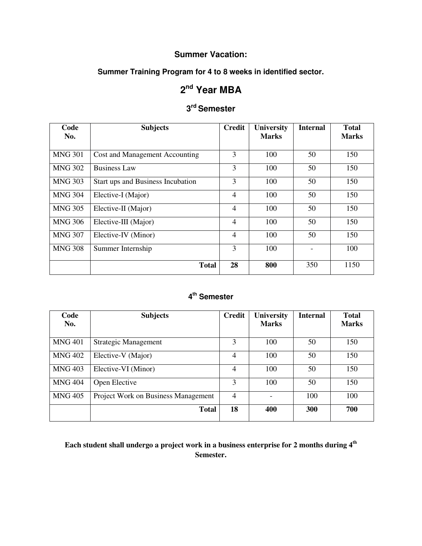## **Summer Vacation:**

### **Summer Training Program for 4 to 8 weeks in identified sector.**

# **2 nd Year MBA**

# **3 rd Semester**

| Code<br>No.    | <b>Subjects</b>                   | <b>Credit</b>  | <b>University</b><br><b>Marks</b> | <b>Internal</b> | <b>Total</b><br><b>Marks</b> |
|----------------|-----------------------------------|----------------|-----------------------------------|-----------------|------------------------------|
| <b>MNG 301</b> | Cost and Management Accounting    | 3              | 100                               | 50              | 150                          |
| <b>MNG 302</b> | <b>Business Law</b>               | 3              | 100                               | 50              | 150                          |
| <b>MNG 303</b> | Start ups and Business Incubation | 3              | 100                               | 50              | 150                          |
| <b>MNG 304</b> | Elective-I (Major)                | $\overline{4}$ | 100                               | 50              | 150                          |
| <b>MNG 305</b> | Elective-II (Major)               | $\overline{4}$ | 100                               | 50              | 150                          |
| <b>MNG 306</b> | Elective-III (Major)              | $\overline{4}$ | 100                               | 50              | 150                          |
| <b>MNG 307</b> | Elective-IV (Minor)               | $\overline{4}$ | 100                               | 50              | 150                          |
| <b>MNG 308</b> | Summer Internship                 | 3              | 100                               |                 | 100                          |
|                | <b>Total</b>                      | 28             | 800                               | 350             | 1150                         |

#### **4 th Semester**

| Code<br>No.    | <b>Subjects</b>                     | <b>Credit</b>  | <b>University</b><br><b>Marks</b> | <b>Internal</b> | <b>Total</b><br><b>Marks</b> |
|----------------|-------------------------------------|----------------|-----------------------------------|-----------------|------------------------------|
| <b>MNG 401</b> | <b>Strategic Management</b>         | 3              | 100                               | 50              | 150                          |
| <b>MNG 402</b> | Elective-V (Major)                  | $\overline{4}$ | 100                               | 50              | 150                          |
| <b>MNG 403</b> | Elective-VI (Minor)                 | $\overline{4}$ | 100                               | 50              | 150                          |
| <b>MNG 404</b> | Open Elective                       | 3              | 100                               | 50              | 150                          |
| <b>MNG 405</b> | Project Work on Business Management | $\overline{4}$ |                                   | 100             | 100                          |
|                | <b>Total</b>                        | 18             | 400                               | 300             | 700                          |

**Each student shall undergo a project work in a business enterprise for 2 months during 4th Semester.**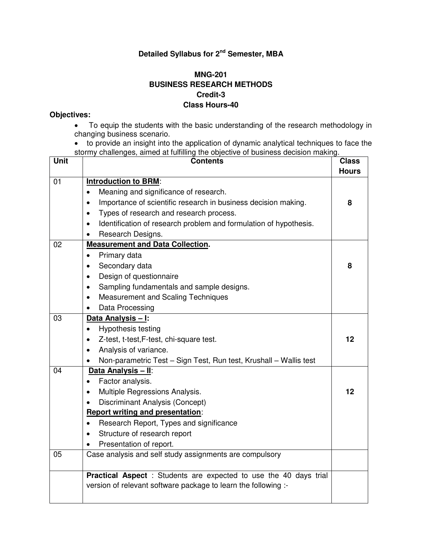## **Detailed Syllabus for 2nd Semester, MBA**

### **MNG-201 BUSINESS RESEARCH METHODS Credit-3 Class Hours-40**

- To equip the students with the basic understanding of the research methodology in changing business scenario.
- to provide an insight into the application of dynamic analytical techniques to face the stormy challenges, aimed at fulfilling the objective of business decision making.

| <b>Unit</b> | <b>Contents</b>                                                                | <b>Class</b> |
|-------------|--------------------------------------------------------------------------------|--------------|
|             |                                                                                | <b>Hours</b> |
| 01          | <b>Introduction to BRM:</b>                                                    |              |
|             | Meaning and significance of research.<br>$\bullet$                             |              |
|             | Importance of scientific research in business decision making.<br>$\bullet$    | 8            |
|             | Types of research and research process.<br>$\bullet$                           |              |
|             | Identification of research problem and formulation of hypothesis.<br>$\bullet$ |              |
|             | Research Designs.<br>$\bullet$                                                 |              |
| 02          | <b>Measurement and Data Collection.</b>                                        |              |
|             | Primary data<br>$\bullet$                                                      |              |
|             | Secondary data<br>$\bullet$                                                    | 8            |
|             | Design of questionnaire<br>$\bullet$                                           |              |
|             | Sampling fundamentals and sample designs.<br>$\bullet$                         |              |
|             | <b>Measurement and Scaling Techniques</b><br>$\bullet$                         |              |
|             | Data Processing<br>$\bullet$                                                   |              |
| 03          | Data Analysis - I:                                                             |              |
|             | Hypothesis testing<br>$\bullet$                                                |              |
|             | Z-test, t-test, F-test, chi-square test.<br>$\bullet$                          | 12           |
|             | Analysis of variance.<br>$\bullet$                                             |              |
|             | Non-parametric Test - Sign Test, Run test, Krushall - Wallis test<br>٠         |              |
| 04          | Data Analysis - II:                                                            |              |
|             | Factor analysis.<br>$\bullet$                                                  |              |
|             | Multiple Regressions Analysis.<br>$\bullet$                                    | 12           |
|             | Discriminant Analysis (Concept)<br>$\bullet$                                   |              |
|             | <b>Report writing and presentation:</b>                                        |              |
|             | Research Report, Types and significance<br>$\bullet$                           |              |
|             | Structure of research report                                                   |              |
|             | Presentation of report.                                                        |              |
| 05          | Case analysis and self study assignments are compulsory                        |              |
|             |                                                                                |              |
|             | Practical Aspect : Students are expected to use the 40 days trial              |              |
|             | version of relevant software package to learn the following :-                 |              |
|             |                                                                                |              |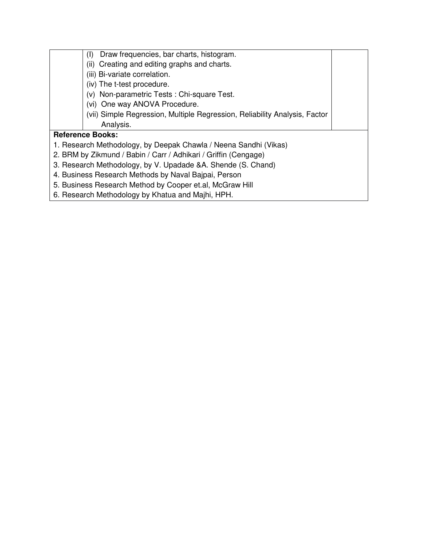| Draw frequencies, bar charts, histogram.<br>(I)                            |  |
|----------------------------------------------------------------------------|--|
| (ii) Creating and editing graphs and charts.                               |  |
| (iii) Bi-variate correlation.                                              |  |
| (iv) The t-test procedure.                                                 |  |
| (v) Non-parametric Tests: Chi-square Test.                                 |  |
| (vi) One way ANOVA Procedure.                                              |  |
| (vii) Simple Regression, Multiple Regression, Reliability Analysis, Factor |  |
| Analysis.                                                                  |  |
| <b>Reference Books:</b>                                                    |  |
| 1. Research Methodology, by Deepak Chawla / Neena Sandhi (Vikas)           |  |
| 2. BRM by Zikmund / Babin / Carr / Adhikari / Griffin (Cengage)            |  |
| 3. Research Methodology, by V. Upadade & A. Shende (S. Chand)              |  |
| 4. Business Research Methods by Naval Bajpai, Person                       |  |
| 5. Business Research Method by Cooper et.al, McGraw Hill                   |  |

6. Research Methodology by Khatua and Majhi, HPH.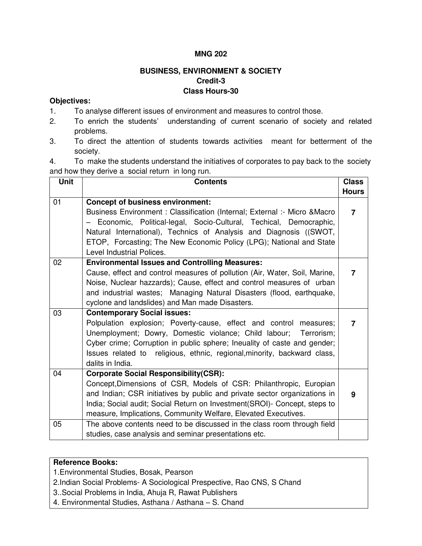#### **MNG 202**

## **BUSINESS, ENVIRONMENT & SOCIETY Credit-3 Class Hours-30**

#### **Objectives:**

- 1. To analyse different issues of environment and measures to control those.
- 2. To enrich the students' understanding of current scenario of society and related problems.
- 3. To direct the attention of students towards activities meant for betterment of the society.

4. To make the students understand the initiatives of corporates to pay back to the society and how they derive a social return in long run.

| Unit | <b>Contents</b>                                                                                                                                                                                                                                                                                                                                                      | <b>Class</b> |
|------|----------------------------------------------------------------------------------------------------------------------------------------------------------------------------------------------------------------------------------------------------------------------------------------------------------------------------------------------------------------------|--------------|
|      |                                                                                                                                                                                                                                                                                                                                                                      | <b>Hours</b> |
| 01   | <b>Concept of business environment:</b><br>Business Environment : Classification (Internal; External :- Micro & Macro<br>Economic, Political-legal, Socio-Cultural, Techical, Democraphic,<br>Natural International), Technics of Analysis and Diagnosis ((SWOT,<br>ETOP, Forcasting; The New Economic Policy (LPG); National and State<br>Level Industrial Polices. | 7            |
| 02   | <b>Environmental Issues and Controlling Measures:</b><br>Cause, effect and control measures of pollution (Air, Water, Soil, Marine,<br>Noise, Nuclear hazzards); Cause, effect and control measures of urban<br>and industrial wastes; Managing Natural Disasters (flood, earthquake,<br>cyclone and landslides) and Man made Disasters.                             | 7            |
| 03   | <b>Contemporary Social issues:</b><br>Polpulation explosion; Poverty-cause, effect and control measures;<br>Unemployment; Dowry, Domestic violance; Child labour;<br>Terrorism;<br>Cyber crime; Corruption in public sphere; Ineuality of caste and gender;<br>Issues related to religious, ethnic, regional, minority, backward class,<br>dalits in India.          | 7            |
| 04   | <b>Corporate Social Responsibility(CSR):</b><br>Concept, Dimensions of CSR, Models of CSR: Philanthropic, Europian<br>and Indian; CSR initiatives by public and private sector organizations in<br>India; Social audit; Social Return on Investment(SROI)- Concept, steps to<br>measure, Implications, Community Welfare, Elevated Executives.                       | 9            |
| 05   | The above contents need to be discussed in the class room through field<br>studies, case analysis and seminar presentations etc.                                                                                                                                                                                                                                     |              |

#### **Reference Books:**

1.Environmental Studies, Bosak, Pearson

2.Indian Social Problems- A Sociological Prespective, Rao CNS, S Chand

3..Social Problems in India, Ahuja R, Rawat Publishers

4. Environmental Studies, Asthana / Asthana – S. Chand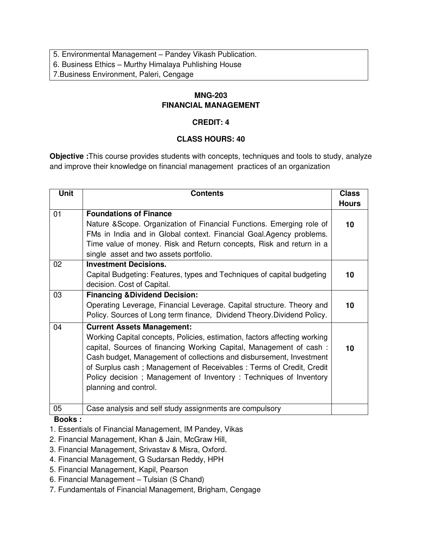5. Environmental Management – Pandey Vikash Publication.

6. Business Ethics – Murthy Himalaya Puhlishing House

7.Business Environment, Paleri, Cengage

### **MNG-203 FINANCIAL MANAGEMENT**

### **CREDIT: 4**

### **CLASS HOURS: 40**

**Objective :**This course provides students with concepts, techniques and tools to study, analyze and improve their knowledge on financial management practices of an organization

| <b>Unit</b> | <b>Contents</b>                                                           | <b>Class</b> |
|-------------|---------------------------------------------------------------------------|--------------|
|             |                                                                           | <b>Hours</b> |
| 01          | <b>Foundations of Finance</b>                                             |              |
|             | Nature & Scope. Organization of Financial Functions. Emerging role of     | 10           |
|             | FMs in India and in Global context. Financial Goal.Agency problems.       |              |
|             | Time value of money. Risk and Return concepts, Risk and return in a       |              |
|             | single asset and two assets portfolio.                                    |              |
| 02          | <b>Investment Decisions.</b>                                              |              |
|             | Capital Budgeting: Features, types and Techniques of capital budgeting    | 10           |
|             | decision. Cost of Capital.                                                |              |
| 03          | <b>Financing &amp; Dividend Decision:</b>                                 |              |
|             | Operating Leverage, Financial Leverage. Capital structure. Theory and     | 10           |
|             | Policy. Sources of Long term finance, Dividend Theory. Dividend Policy.   |              |
| 04          | <b>Current Assets Management:</b>                                         |              |
|             | Working Capital concepts, Policies, estimation, factors affecting working |              |
|             | capital, Sources of financing Working Capital, Management of cash:        | 10           |
|             | Cash budget, Management of collections and disbursement, Investment       |              |
|             | of Surplus cash; Management of Receivables: Terms of Credit, Credit       |              |
|             | Policy decision; Management of Inventory: Techniques of Inventory         |              |
|             | planning and control.                                                     |              |
|             |                                                                           |              |
| 05          | Case analysis and self study assignments are compulsory                   |              |

### **Books :**

- 1. Essentials of Financial Management, IM Pandey, Vikas
- 2. Financial Management, Khan & Jain, McGraw Hill,
- 3. Financial Management, Srivastav & Misra, Oxford.
- 4. Financial Management, G Sudarsan Reddy, HPH
- 5. Financial Management, Kapil, Pearson
- 6. Financial Management Tulsian (S Chand)
- 7. Fundamentals of Financial Management, Brigham, Cengage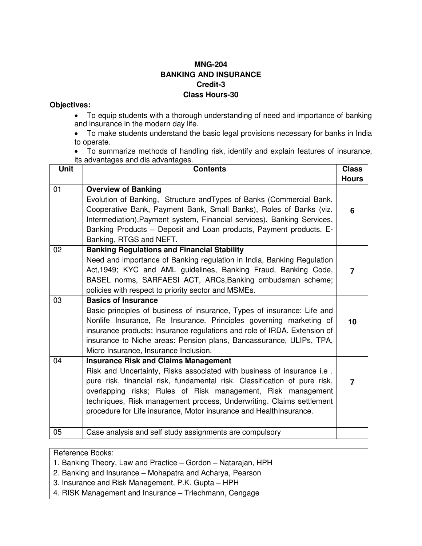### **MNG-204 BANKING AND INSURANCE Credit-3 Class Hours-30**

#### **Objectives:**

- To equip students with a thorough understanding of need and importance of banking and insurance in the modern day life.
- To make students understand the basic legal provisions necessary for banks in India to operate.
- To summarize methods of handling risk, identify and explain features of insurance, its advantages and dis advantages.

| <b>Unit</b> | <b>Contents</b>                                                                                                                                                                                                                                                                                                                                                                                                  | <b>Class</b> |
|-------------|------------------------------------------------------------------------------------------------------------------------------------------------------------------------------------------------------------------------------------------------------------------------------------------------------------------------------------------------------------------------------------------------------------------|--------------|
|             |                                                                                                                                                                                                                                                                                                                                                                                                                  | <b>Hours</b> |
| 01          | <b>Overview of Banking</b><br>Evolution of Banking, Structure and Types of Banks (Commercial Bank,<br>Cooperative Bank, Payment Bank, Small Banks), Roles of Banks (viz.<br>Intermediation), Payment system, Financial services), Banking Services,<br>Banking Products – Deposit and Loan products, Payment products. E-<br>Banking, RTGS and NEFT.                                                             | 6            |
| 02          | <b>Banking Regulations and Financial Stability</b><br>Need and importance of Banking regulation in India, Banking Regulation<br>Act, 1949; KYC and AML guidelines, Banking Fraud, Banking Code,<br>BASEL norms, SARFAESI ACT, ARCs, Banking ombudsman scheme;<br>policies with respect to priority sector and MSMEs.                                                                                             | 7            |
| 03          | <b>Basics of Insurance</b><br>Basic principles of business of insurance, Types of insurance: Life and<br>Nonlife Insurance, Re Insurance. Principles governing marketing of<br>insurance products; Insurance regulations and role of IRDA. Extension of<br>insurance to Niche areas: Pension plans, Bancassurance, ULIPs, TPA,<br>Micro Insurance, Insurance Inclusion.                                          | 10           |
| 04          | <b>Insurance Risk and Claims Management</b><br>Risk and Uncertainty, Risks associated with business of insurance i.e.<br>pure risk, financial risk, fundamental risk. Classification of pure risk,<br>overlapping risks; Rules of Risk management, Risk management<br>techniques, Risk management process, Underwriting. Claims settlement<br>procedure for Life insurance, Motor insurance and HealthInsurance. | 7            |
| 05          | Case analysis and self study assignments are compulsory                                                                                                                                                                                                                                                                                                                                                          |              |

#### Reference Books:

- 1. Banking Theory, Law and Practice Gordon Natarajan, HPH
- 2. Banking and Insurance Mohapatra and Acharya, Pearson
- 3. Insurance and Risk Management, P.K. Gupta HPH
- 4. RISK Management and Insurance Triechmann, Cengage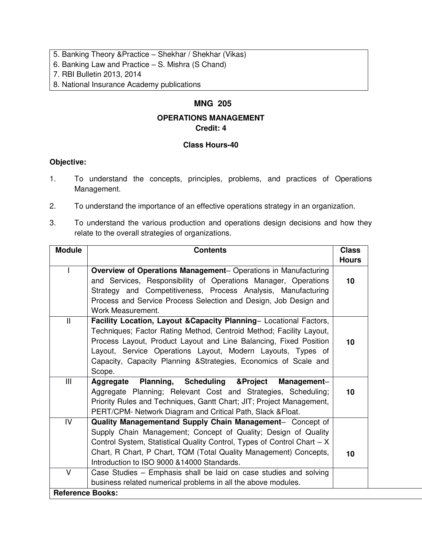- 5. Banking Theory &Practice Shekhar / Shekhar (Vikas)
- 6. Banking Law and Practice S. Mishra (S Chand)
- 7. RBI Bulletin 2013, 2014
- 8. National Insurance Academy publications

## **MNG 205**

### **OPERATIONS MANAGEMENT Credit: 4**

### **Class Hours-40**

- 1. To understand the concepts, principles, problems, and practices of Operations Management.
- 2. To understand the importance of an effective operations strategy in an organization.
- 3. To understand the various production and operations design decisions and how they relate to the overall strategies of organizations.

| <b>Module</b>           | <b>Contents</b>                                                         | <b>Class</b> |
|-------------------------|-------------------------------------------------------------------------|--------------|
|                         |                                                                         | <b>Hours</b> |
|                         | Overview of Operations Management- Operations in Manufacturing          |              |
|                         | and Services, Responsibility of Operations Manager, Operations          | 10           |
|                         | Strategy and Competitiveness, Process Analysis, Manufacturing           |              |
|                         | Process and Service Process Selection and Design, Job Design and        |              |
|                         | Work Measurement.                                                       |              |
| $\mathbf{I}$            | Facility Location, Layout & Capacity Planning- Locational Factors,      |              |
|                         | Techniques; Factor Rating Method, Centroid Method; Facility Layout,     |              |
|                         | Process Layout, Product Layout and Line Balancing, Fixed Position       | 10           |
|                         | Layout, Service Operations Layout, Modern Layouts, Types of             |              |
|                         | Capacity, Capacity Planning & Strategies, Economics of Scale and        |              |
|                         | Scope.                                                                  |              |
| III                     | Planning, Scheduling & Project<br>Management-<br>Aggregate              |              |
|                         | Aggregate Planning; Relevant Cost and Strategies, Scheduling;           | 10           |
|                         | Priority Rules and Techniques, Gantt Chart; JIT; Project Management,    |              |
|                         | PERT/CPM- Network Diagram and Critical Path, Slack & Float.             |              |
| IV                      | Quality Managementand Supply Chain Management- Concept of               |              |
|                         | Supply Chain Management; Concept of Quality; Design of Quality          |              |
|                         | Control System, Statistical Quality Control, Types of Control Chart - X |              |
|                         | Chart, R Chart, P Chart, TQM (Total Quality Management) Concepts,       | 10           |
|                         | Introduction to ISO 9000 & 14000 Standards.                             |              |
| $\vee$                  | Case Studies - Emphasis shall be laid on case studies and solving       |              |
|                         | business related numerical problems in all the above modules.           |              |
| <b>Reference Books:</b> |                                                                         |              |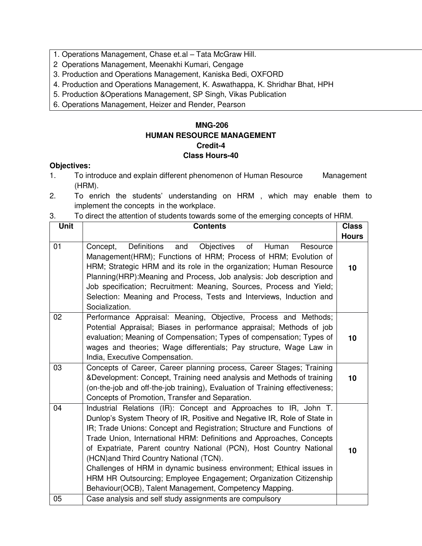- 1. Operations Management, Chase et.al Tata McGraw Hill.
- 2 Operations Management, Meenakhi Kumari, Cengage
- 3. Production and Operations Management, Kaniska Bedi, OXFORD
- 4. Production and Operations Management, K. Aswathappa, K. Shridhar Bhat, HPH
- 5. Production &Operations Management, SP Singh, Vikas Publication
- 6. Operations Management, Heizer and Render, Pearson

### **MNG-206 HUMAN RESOURCE MANAGEMENT Credit-4 Class Hours-40**

- 1. To introduce and explain different phenomenon of Human Resource Management (HRM).
- 2. To enrich the students' understanding on HRM , which may enable them to implement the concepts in the workplace.
- 3. To direct the attention of students towards some of the emerging concepts of HRM.

| <b>Unit</b> | <b>Contents</b>                                                                                                                                                                                                                                                                                                                                                                                                                                                                                                                                                                                                         | <b>Class</b> |
|-------------|-------------------------------------------------------------------------------------------------------------------------------------------------------------------------------------------------------------------------------------------------------------------------------------------------------------------------------------------------------------------------------------------------------------------------------------------------------------------------------------------------------------------------------------------------------------------------------------------------------------------------|--------------|
|             |                                                                                                                                                                                                                                                                                                                                                                                                                                                                                                                                                                                                                         | <b>Hours</b> |
| 01          | Definitions<br><b>Objectives</b><br>of<br>and<br>Human<br>Concept,<br>Resource<br>Management(HRM); Functions of HRM; Process of HRM; Evolution of<br>HRM; Strategic HRM and its role in the organization; Human Resource<br>Planning (HRP): Meaning and Process, Job analysis: Job description and<br>Job specification; Recruitment: Meaning, Sources, Process and Yield;<br>Selection: Meaning and Process, Tests and Interviews, Induction and<br>Socialization.                                                                                                                                                     | 10           |
| 02          | Performance Appraisal: Meaning, Objective, Process and Methods;<br>Potential Appraisal; Biases in performance appraisal; Methods of job<br>evaluation; Meaning of Compensation; Types of compensation; Types of<br>wages and theories; Wage differentials; Pay structure, Wage Law in<br>India, Executive Compensation.                                                                                                                                                                                                                                                                                                 | 10           |
| 03          | Concepts of Career, Career planning process, Career Stages; Training<br>&Development: Concept, Training need analysis and Methods of training<br>(on-the-job and off-the-job training), Evaluation of Training effectiveness;<br>Concepts of Promotion, Transfer and Separation.                                                                                                                                                                                                                                                                                                                                        | 10           |
| 04          | Industrial Relations (IR): Concept and Approaches to IR, John T.<br>Dunlop's System Theory of IR, Positive and Negative IR, Role of State in<br>IR; Trade Unions: Concept and Registration; Structure and Functions of<br>Trade Union, International HRM: Definitions and Approaches, Concepts<br>of Expatriate, Parent country National (PCN), Host Country National<br>(HCN) and Third Country National (TCN).<br>Challenges of HRM in dynamic business environment; Ethical issues in<br>HRM HR Outsourcing; Employee Engagement; Organization Citizenship<br>Behaviour(OCB), Talent Management, Competency Mapping. | 10           |
| 05          | Case analysis and self study assignments are compulsory                                                                                                                                                                                                                                                                                                                                                                                                                                                                                                                                                                 |              |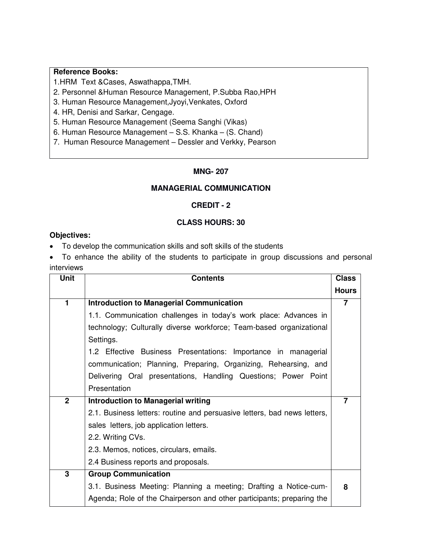1.HRM Text &Cases, Aswathappa,TMH.

2. Personnel &Human Resource Management, P.Subba Rao,HPH

3. Human Resource Management,Jyoyi,Venkates, Oxford

4. HR, Denisi and Sarkar, Cengage.

5. Human Resource Management (Seema Sanghi (Vikas)

6. Human Resource Management – S.S. Khanka – (S. Chand)

7. Human Resource Management – Dessler and Verkky, Pearson

#### **MNG- 207**

#### **MANAGERIAL COMMUNICATION**

#### **CREDIT - 2**

#### **CLASS HOURS: 30**

#### **Objectives:**

To develop the communication skills and soft skills of the students

 To enhance the ability of the students to participate in group discussions and personal interviews

| <b>Unit</b>    | <b>Contents</b>                                                          | <b>Class</b> |
|----------------|--------------------------------------------------------------------------|--------------|
|                |                                                                          | <b>Hours</b> |
| 1              | <b>Introduction to Managerial Communication</b>                          | 7            |
|                | 1.1. Communication challenges in today's work place: Advances in         |              |
|                | technology; Culturally diverse workforce; Team-based organizational      |              |
|                | Settings.                                                                |              |
|                | 1.2 Effective Business Presentations: Importance in managerial           |              |
|                | communication; Planning, Preparing, Organizing, Rehearsing, and          |              |
|                | Delivering Oral presentations, Handling Questions; Power Point           |              |
|                | Presentation                                                             |              |
| $\overline{2}$ | <b>Introduction to Managerial writing</b>                                |              |
|                | 2.1. Business letters: routine and persuasive letters, bad news letters, |              |
|                | sales letters, job application letters.                                  |              |
|                | 2.2. Writing CVs.                                                        |              |
|                | 2.3. Memos, notices, circulars, emails.                                  |              |
|                | 2.4 Business reports and proposals.                                      |              |
| 3              | <b>Group Communication</b>                                               |              |
|                | 3.1. Business Meeting: Planning a meeting; Drafting a Notice-cum-        | 8            |
|                | Agenda; Role of the Chairperson and other participants; preparing the    |              |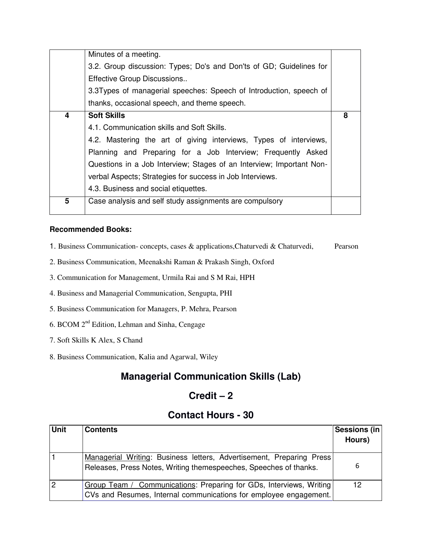|   | Minutes of a meeting.                                                |   |
|---|----------------------------------------------------------------------|---|
|   | 3.2. Group discussion: Types; Do's and Don'ts of GD; Guidelines for  |   |
|   | Effective Group Discussions                                          |   |
|   | 3.3Types of managerial speeches: Speech of Introduction, speech of   |   |
|   | thanks, occasional speech, and theme speech.                         |   |
| 4 | <b>Soft Skills</b>                                                   | 8 |
|   | 4.1. Communication skills and Soft Skills.                           |   |
|   | 4.2. Mastering the art of giving interviews, Types of interviews,    |   |
|   | Planning and Preparing for a Job Interview; Frequently Asked         |   |
|   | Questions in a Job Interview; Stages of an Interview; Important Non- |   |
|   | verbal Aspects; Strategies for success in Job Interviews.            |   |
|   | 4.3. Business and social etiquettes.                                 |   |
| 5 | Case analysis and self study assignments are compulsory              |   |

#### **Recommended Books:**

- 1. Business Communication- concepts, cases & applications,Chaturvedi & Chaturvedi, Pearson
- 2. Business Communication, Meenakshi Raman & Prakash Singh, Oxford
- 3. Communication for Management, Urmila Rai and S M Rai, HPH
- 4. Business and Managerial Communication, Sengupta, PHI
- 5. Business Communication for Managers, P. Mehra, Pearson
- 6. BCOM  $2^{nd}$  Edition, Lehman and Sinha, Cengage
- 7. Soft Skills K Alex, S Chand
- 8. Business Communication, Kalia and Agarwal, Wiley

## **Managerial Communication Skills (Lab)**

## **Credit – 2**

## **Contact Hours - 30**

| <b>Unit</b>    | <b>Contents</b>                                                                                                                           | Sessions (in<br>Hours) |
|----------------|-------------------------------------------------------------------------------------------------------------------------------------------|------------------------|
|                | Managerial Writing: Business letters, Advertisement, Preparing Press<br>Releases, Press Notes, Writing themespeeches, Speeches of thanks. | 6                      |
| $\overline{2}$ | Group Team / Communications: Preparing for GDs, Interviews, Writing<br>CVs and Resumes, Internal communications for employee engagement.  | 12                     |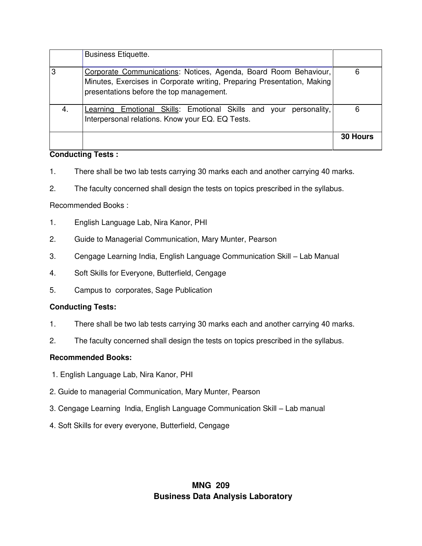|     | <b>Business Etiquette.</b>                                                                                                                                                              |                 |
|-----|-----------------------------------------------------------------------------------------------------------------------------------------------------------------------------------------|-----------------|
| 3   | Corporate Communications: Notices, Agenda, Board Room Behaviour,<br>Minutes, Exercises in Corporate writing, Preparing Presentation, Making<br>presentations before the top management. | 6               |
| -4. | Learning Emotional Skills: Emotional Skills and your<br>personality,<br>Interpersonal relations. Know your EQ. EQ Tests.                                                                | 6               |
|     |                                                                                                                                                                                         | <b>30 Hours</b> |

#### **Conducting Tests :**

- 1. There shall be two lab tests carrying 30 marks each and another carrying 40 marks.
- 2. The faculty concerned shall design the tests on topics prescribed in the syllabus.

#### Recommended Books :

- 1. English Language Lab, Nira Kanor, PHI
- 2. Guide to Managerial Communication, Mary Munter, Pearson
- 3. Cengage Learning India, English Language Communication Skill Lab Manual
- 4. Soft Skills for Everyone, Butterfield, Cengage
- 5. Campus to corporates, Sage Publication

#### **Conducting Tests:**

- 1. There shall be two lab tests carrying 30 marks each and another carrying 40 marks.
- 2. The faculty concerned shall design the tests on topics prescribed in the syllabus.

#### **Recommended Books:**

- 1. English Language Lab, Nira Kanor, PHI
- 2. Guide to managerial Communication, Mary Munter, Pearson
- 3. Cengage Learning India, English Language Communication Skill Lab manual
- 4. Soft Skills for every everyone, Butterfield, Cengage

## **MNG 209 Business Data Analysis Laboratory**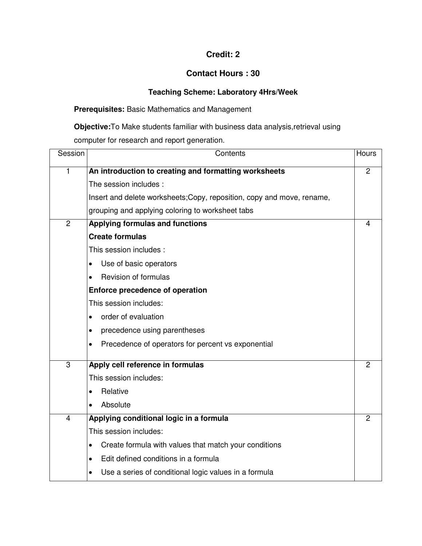### **Credit: 2**

### **Contact Hours : 30**

## **Teaching Scheme: Laboratory 4Hrs/Week**

### **Prerequisites:** Basic Mathematics and Management

**Objective:**To Make students familiar with business data analysis,retrieval using computer for research and report generation.

| Session        | Contents                                                               | <b>Hours</b>   |
|----------------|------------------------------------------------------------------------|----------------|
| $\mathbf{1}$   | An introduction to creating and formatting worksheets                  | $\overline{2}$ |
|                | The session includes:                                                  |                |
|                | Insert and delete worksheets; Copy, reposition, copy and move, rename, |                |
|                | grouping and applying coloring to worksheet tabs                       |                |
| $\overline{c}$ | Applying formulas and functions                                        | 4              |
|                | <b>Create formulas</b>                                                 |                |
|                | This session includes:                                                 |                |
|                | Use of basic operators                                                 |                |
|                | Revision of formulas                                                   |                |
|                | Enforce precedence of operation                                        |                |
|                | This session includes:                                                 |                |
|                | order of evaluation                                                    |                |
|                | precedence using parentheses<br>$\bullet$                              |                |
|                | Precedence of operators for percent vs exponential                     |                |
| 3              | Apply cell reference in formulas                                       | 2              |
|                | This session includes:                                                 |                |
|                | Relative                                                               |                |
|                | Absolute                                                               |                |
| 4              | Applying conditional logic in a formula                                | 2              |
|                | This session includes:                                                 |                |
|                | Create formula with values that match your conditions                  |                |
|                | Edit defined conditions in a formula                                   |                |
|                | Use a series of conditional logic values in a formula                  |                |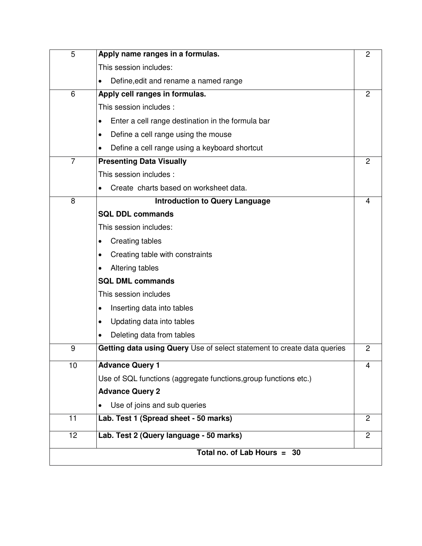| 5                           | Apply name ranges in a formulas.                                        | $\overline{2}$ |
|-----------------------------|-------------------------------------------------------------------------|----------------|
|                             | This session includes:                                                  |                |
|                             | Define, edit and rename a named range                                   |                |
| 6                           | Apply cell ranges in formulas.                                          | 2              |
|                             | This session includes:                                                  |                |
|                             | Enter a cell range destination in the formula bar                       |                |
|                             | Define a cell range using the mouse                                     |                |
|                             | Define a cell range using a keyboard shortcut                           |                |
| $\overline{7}$              | <b>Presenting Data Visually</b>                                         | $\overline{c}$ |
|                             | This session includes:                                                  |                |
|                             | Create charts based on worksheet data.                                  |                |
| 8                           | <b>Introduction to Query Language</b>                                   | 4              |
|                             | <b>SQL DDL commands</b>                                                 |                |
|                             | This session includes:                                                  |                |
|                             | Creating tables                                                         |                |
|                             | Creating table with constraints                                         |                |
|                             | Altering tables                                                         |                |
|                             | <b>SQL DML commands</b>                                                 |                |
|                             | This session includes                                                   |                |
|                             | Inserting data into tables                                              |                |
|                             | Updating data into tables                                               |                |
|                             | Deleting data from tables                                               |                |
| 9                           | Getting data using Query Use of select statement to create data queries | $\overline{2}$ |
| 10                          | <b>Advance Query 1</b>                                                  | 4              |
|                             | Use of SQL functions (aggregate functions, group functions etc.)        |                |
|                             | <b>Advance Query 2</b>                                                  |                |
|                             | Use of joins and sub queries                                            |                |
| 11                          | Lab. Test 1 (Spread sheet - 50 marks)                                   | 2              |
| 12                          | Lab. Test 2 (Query language - 50 marks)                                 | $\overline{2}$ |
| Total no. of Lab Hours = 30 |                                                                         |                |